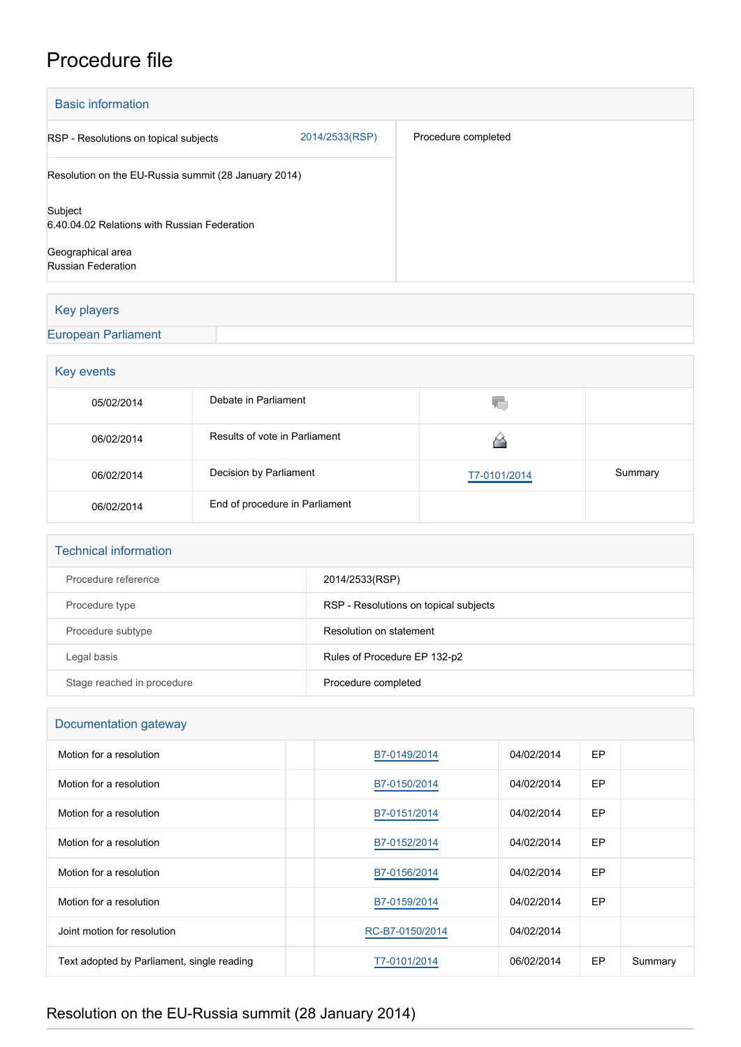## Procedure file

| <b>Basic information</b>                                |                |                     |  |  |
|---------------------------------------------------------|----------------|---------------------|--|--|
| RSP - Resolutions on topical subjects                   | 2014/2533(RSP) | Procedure completed |  |  |
| Resolution on the EU-Russia summit (28 January 2014)    |                |                     |  |  |
| Subject<br>6.40.04.02 Relations with Russian Federation |                |                     |  |  |
| Geographical area<br><b>Russian Federation</b>          |                |                     |  |  |

## Key players

## [European Parliament](http://www.europarl.europa.eu/)

| Key events |                                |              |         |  |  |  |
|------------|--------------------------------|--------------|---------|--|--|--|
| 05/02/2014 | Debate in Parliament           | V.           |         |  |  |  |
| 06/02/2014 | Results of vote in Parliament  |              |         |  |  |  |
| 06/02/2014 | Decision by Parliament         | T7-0101/2014 | Summary |  |  |  |
| 06/02/2014 | End of procedure in Parliament |              |         |  |  |  |

| <b>Technical information</b> |                                       |
|------------------------------|---------------------------------------|
| Procedure reference          | 2014/2533(RSP)                        |
| Procedure type               | RSP - Resolutions on topical subjects |
| Procedure subtype            | Resolution on statement               |
| Legal basis                  | Rules of Procedure EP 132-p2          |
| Stage reached in procedure   | Procedure completed                   |

| Documentation gateway                      |                 |            |    |         |  |  |
|--------------------------------------------|-----------------|------------|----|---------|--|--|
| Motion for a resolution                    | B7-0149/2014    | 04/02/2014 | EP |         |  |  |
| Motion for a resolution                    | B7-0150/2014    | 04/02/2014 | EP |         |  |  |
| Motion for a resolution                    | B7-0151/2014    | 04/02/2014 | EP |         |  |  |
| Motion for a resolution                    | B7-0152/2014    | 04/02/2014 | EP |         |  |  |
| Motion for a resolution                    | B7-0156/2014    | 04/02/2014 | EP |         |  |  |
| Motion for a resolution                    | B7-0159/2014    | 04/02/2014 | EP |         |  |  |
| Joint motion for resolution                | RC-B7-0150/2014 | 04/02/2014 |    |         |  |  |
| Text adopted by Parliament, single reading | T7-0101/2014    | 06/02/2014 | EP | Summary |  |  |

## Resolution on the EU-Russia summit (28 January 2014)